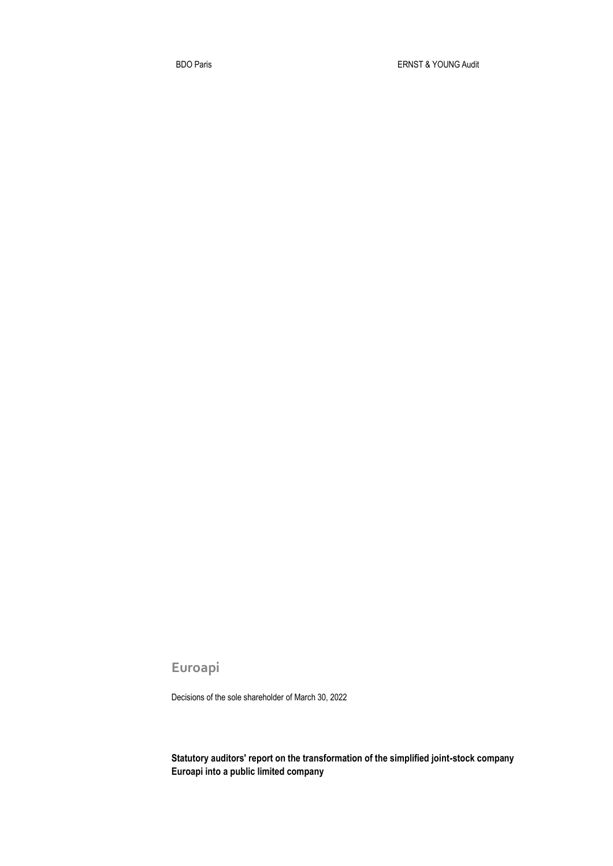**Euroapi**

Decisions of the sole shareholder of March 30, 2022

**Statutory auditors' report on the transformation of the simplified joint-stock company Euroapi into a public limited company**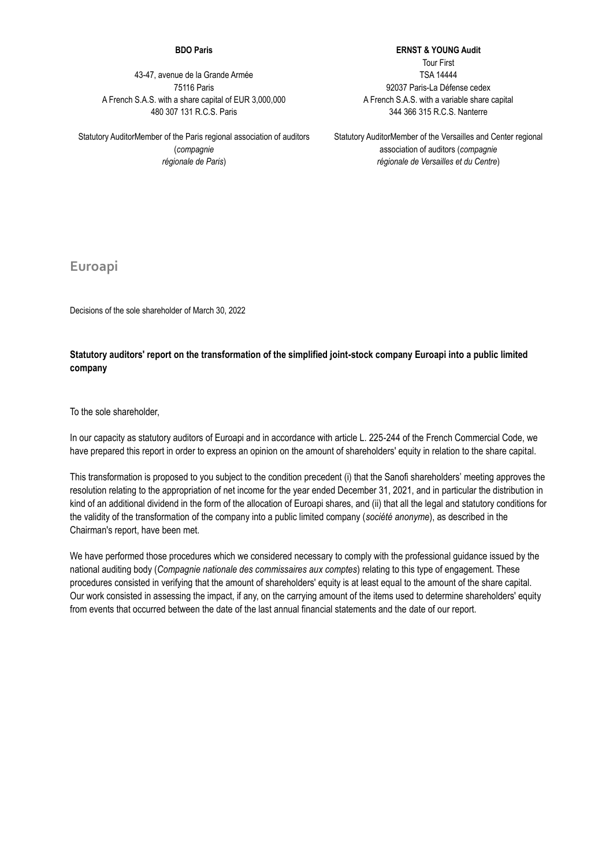## **BDO Paris**

43-47, avenue de la Grande Armée 75116 Paris A French S.A.S. with a share capital of EUR 3,000,000 480 307 131 R.C.S. Paris

Statutory AuditorMember of the Paris regional association of auditors (*compagnie régionale de Paris*)

**ERNST & YOUNG Audit** Tour First TSA 14444 92037 Paris-La Défense cedex A French S.A.S. with a variable share capital 344 366 315 R.C.S. Nanterre

Statutory AuditorMember of the Versailles and Center regional association of auditors (*compagnie régionale de Versailles et du Centre*)

**Euroapi**

Decisions of the sole shareholder of March 30, 2022

## **Statutory auditors' report on the transformation of the simplified joint-stock company Euroapi into a public limited company**

To the sole shareholder,

In our capacity as statutory auditors of Euroapi and in accordance with article L. 225-244 of the French Commercial Code, we have prepared this report in order to express an opinion on the amount of shareholders' equity in relation to the share capital.

This transformation is proposed to you subject to the condition precedent (i) that the Sanofi shareholders' meeting approves the resolution relating to the appropriation of net income for the year ended December 31, 2021, and in particular the distribution in kind of an additional dividend in the form of the allocation of Euroapi shares, and (ii) that all the legal and statutory conditions for the validity of the transformation of the company into a public limited company (*société anonyme*), as described in the Chairman's report, have been met.

We have performed those procedures which we considered necessary to comply with the professional guidance issued by the national auditing body (*Compagnie nationale des commissaires aux comptes*) relating to this type of engagement. These procedures consisted in verifying that the amount of shareholders' equity is at least equal to the amount of the share capital. Our work consisted in assessing the impact, if any, on the carrying amount of the items used to determine shareholders' equity from events that occurred between the date of the last annual financial statements and the date of our report.